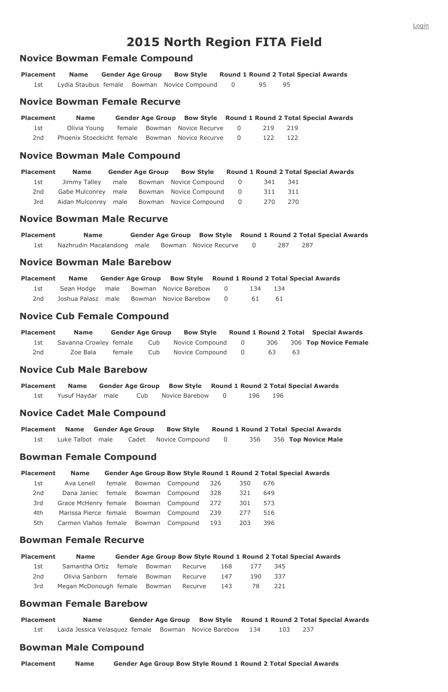# **2015 North Region FITA Field**

**Placement Name Gender Age Group Bow Style Round 1 Round 2 Total Special Awards** 1st Lydia Staubus female Bowman Novice Compound 0 95 95

#### **Novice Bowman Female Compound**

#### **Novice Bowman Female Recurve**

| <b>Placement</b> | <b>Name</b>                                       |  | Gender Age Group Bow Style Round 1 Round 2 Total Special Awards |     |     |  |
|------------------|---------------------------------------------------|--|-----------------------------------------------------------------|-----|-----|--|
| 1st              | Olivia Young                                      |  | female Bowman Novice Recurve 0                                  | 219 | 219 |  |
| 2nd              | Phoenix Stoeckicht female Bowman Novice Recurve 0 |  |                                                                 | 122 | 122 |  |

#### **Novice Bowman Male Compound**

| <b>Placement</b> | <b>Name</b>  |  |                                               |       | Gender Age Group Bow Style Round 1 Round 2 Total Special Awards |
|------------------|--------------|--|-----------------------------------------------|-------|-----------------------------------------------------------------|
| 1st              | Jimmy Talley |  | male Bowman Novice Compound 0                 | - 341 | - 341                                                           |
| 2nd              |              |  | Gabe Mulconrey male Bowman Novice Compound 0  | 311   | -311                                                            |
| 3rd              |              |  | Aidan Mulconrey male Bowman Novice Compound 0 | 270   | 270                                                             |

#### **Novice Bowman Male Recurve**

| <b>Placement</b> | <b>Name</b>                                      |  | Gender Age Group Bow Style Round 1 Round 2 Total Special Awards |     |       |  |
|------------------|--------------------------------------------------|--|-----------------------------------------------------------------|-----|-------|--|
|                  | Nazhrudin Macalandong male Bowman Novice Recurve |  |                                                                 | 287 | - 287 |  |

## **Novice Bowman Male Barebow**

| <b>Placement</b> | <b>Name</b> |  | Gender Age Group Bow Style Round 1 Round 2 Total Special Awards |         |  |  |
|------------------|-------------|--|-----------------------------------------------------------------|---------|--|--|
| 1st -            |             |  | Sean Hodge male Bowman Novice Barebow 0                         | 134 134 |  |  |
| 2nd              |             |  | Joshua Palasz male Bowman Novice Barebow 0                      | - 61 -  |  |  |

# **Novice Cub Female Compound**

**Placement Name Gender Age Group Bow Style Round 1 Round 2 Total Special Awards** 1st Savanna Crowley female Cub Novice Compound 0 306 306 **Top Novice Female** 2nd Zoe Bala female Cub Novice Compound 0 63 63

#### **Novice Cub Male Barebow**

**Placement Name Gender Age Group Bow Style Round 1 Round 2 Total Special Awards** 1st Yusuf Haydar male Cub Novice Barebow 0 196 196

# **Novice Cadet Male Compound**

|                  |  | Placement Name Gender Age Group Bow Style Round 1 Round 2 Total Special Awards |  |                         |
|------------------|--|--------------------------------------------------------------------------------|--|-------------------------|
| Luke Talbot male |  | Cadet Novice Compound 0                                                        |  | 356 356 Top Novice Male |

# **Bowman Female Compound**

| <b>Placement</b> | <b>Name</b>                              | <b>Gender Age Group Bow Style Round 1 Round 2 Total Special Awards</b> |  |      |     |  |
|------------------|------------------------------------------|------------------------------------------------------------------------|--|------|-----|--|
| 1st              | Ava Lenell female Bowman Compound 326    |                                                                        |  | -350 | 676 |  |
| 2nd              | Dana Janiec female Bowman Compound 328   |                                                                        |  | 321  | 649 |  |
| 3rd              | Grace McHenry female Bowman Compound 272 |                                                                        |  | 301  | 573 |  |

4th Marissa Pierce female Bowman Compound 239 277 516 5th Carmen Vlahos female Bowman Compound 193 203 396

#### **Bowman Female Recurve**

| <b>Placement</b> | <b>Name</b>                           |               |         |      |      |      | <b>Gender Age Group Bow Style Round 1 Round 2 Total Special Awards</b> |
|------------------|---------------------------------------|---------------|---------|------|------|------|------------------------------------------------------------------------|
| 1st              | Samantha Ortiz female Bowman          |               | Recurve | 168  | 177  | -345 |                                                                        |
| 2nd              | Olivia Sanborn                        | female Bowman | Recurve | -147 | 190. | -337 |                                                                        |
| 3rd              | Megan McDonough female Bowman Recurve |               |         | 143  | 78.  | -221 |                                                                        |

## **Bowman Female Barebow**

**Placement Name Gender Age Group Bow Style Round 1 Round 2 Total Special Awards** 1st Laida Jessica Velasquez female Bowman Novice Barebow 134 103 237

## **Bowman Male Compound**

**Placement Name Gender Age Group Bow Style Round 1 Round 2 Total Special Awards**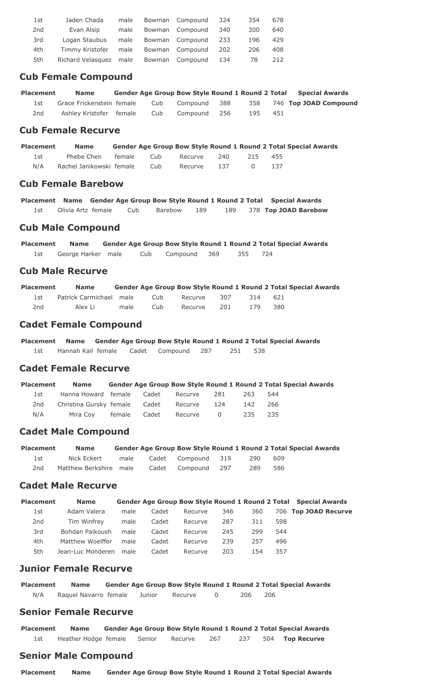| 1st | Jaden Chada       | male |        | Bowman Compound | -324 | 354  | 678 |
|-----|-------------------|------|--------|-----------------|------|------|-----|
| 2nd | Evan Alsip        | male |        | Bowman Compound | -340 | 300  | 640 |
| 3rd | Logan Staubus     | male |        | Bowman Compound | 233  | 196  | 429 |
| 4th | Timmy Kristofer   | male |        | Bowman Compound | 202  | 206. | 408 |
| 5th | Richard Velasquez | male | Bowman | Compound 134    |      | 78   | 212 |

#### **Cub Female Compound**

| <b>Placement</b> | <b>Name</b>               | <b>Gender Age Group Bow Style Round 1 Round 2 Total</b> |              |       |     |     | <b>Special Awards</b>     |
|------------------|---------------------------|---------------------------------------------------------|--------------|-------|-----|-----|---------------------------|
|                  | Grace Frickenstein female | Cub                                                     | Compound     | . 388 |     |     | 358 746 Top JOAD Compound |
| 2nd              | Ashley Kristofer female   | Cub                                                     | Compound 256 |       | 195 | 451 |                           |

## **Cub Female Recurve**

| <b>Placement</b> | <b>Name</b>              | <b>Gender Age Group Bow Style Round 1 Round 2 Total Special Awards</b> |         |       |     |     |  |
|------------------|--------------------------|------------------------------------------------------------------------|---------|-------|-----|-----|--|
| 1st -            | Phebe Chen female        | - Cub                                                                  | Recurve | 240   | 215 | 455 |  |
| N/A              | Rachel Janikowski female | Cub                                                                    | Recurve | - 137 |     |     |  |

## **Cub Female Barebow**

**Placement Name Gender Age Group Bow Style Round 1 Round 2 Total Special Awards** 1st Olivia Artz female Cub Barebow 189 189 378 **Top JOAD Barebow**

# **Cub Male Compound**

**Placement Name Gender Age Group Bow Style Round 1 Round 2 Total Special Awards** 1st George Harker male Cub Compound 369 355 724

# **Cub Male Recurve**

| <b>Placement</b> | <b>Name</b>             |      |     |         |     |      |      | <b>Gender Age Group Bow Style Round 1 Round 2 Total Special Awards</b> |
|------------------|-------------------------|------|-----|---------|-----|------|------|------------------------------------------------------------------------|
|                  | Patrick Carmichael male |      | Cub | Recurve | 307 | -314 | -621 |                                                                        |
| 2nd              | Alex Li                 | male | Cub | Recurve | 201 | 179  | 380  |                                                                        |

# **Cadet Female Compound**

**Placement Name Gender Age Group Bow Style Round 1 Round 2 Total Special Awards** 1st Hannah Kail female Cadet Compound 287 251 538

# **Cadet Female Recurve**

| <b>Placement</b> | <b>Name</b>                           |        |       |         |          |     | <b>Gender Age Group Bow Style Round 1 Round 2 Total Special Awards</b> |  |
|------------------|---------------------------------------|--------|-------|---------|----------|-----|------------------------------------------------------------------------|--|
| 1st              | Hanna Howard female Cadet             |        |       | Recurve | 281      | 263 | 544                                                                    |  |
| 2nd              | Christina Gursky female Cadet Recurve |        |       |         | -124     | 142 | 266                                                                    |  |
| N/A              | Mira Coy                              | female | Cadet | Recurve | $\sim$ 0 | 235 | -235                                                                   |  |

# **Cadet Male Compound**

| Placement | <b>Name</b>            |      | <b>Gender Age Group Bow Style Round 1 Round 2 Total Special Awards</b> |                    |     |     |  |
|-----------|------------------------|------|------------------------------------------------------------------------|--------------------|-----|-----|--|
| 1st -     | Nick Eckert            | male |                                                                        | Cadet Compound 319 | 290 | 609 |  |
| 2nd       | Matthew Berkshire male |      |                                                                        | Cadet Compound 297 | 289 | 586 |  |

# **Cadet Male Recurve**

| <b>Placement</b><br><b>Gender Age Group Bow Style Round 1 Round 2 Total Special Awards</b><br><b>Name</b> |  |
|-----------------------------------------------------------------------------------------------------------|--|
|-----------------------------------------------------------------------------------------------------------|--|

| 1st | Adam Valera            | male | Cadet | Recurve | 346  | 360 |     | 706 Top JOAD Recurve |
|-----|------------------------|------|-------|---------|------|-----|-----|----------------------|
| 2nd | Tim Winfrey            | male | Cadet | Recurve | 287  | 311 | 598 |                      |
| 3rd | Bohdan Paikoush        | male | Cadet | Recurve | 245  | 299 | 544 |                      |
| 4th | Matthew Woelffer       | male | Cadet | Recurve | -239 | 257 | 496 |                      |
| 5th | Jean-Luc Monderen male |      | Cadet | Recurve | 203  | 154 | 357 |                      |

### **Junior Female Recurve**

**Placement Name Gender Age Group Bow Style Round 1 Round 2 Total Special Awards** N/A Raquel Navarro female Junior Recurve 0 206 206

# **Senior Female Recurve**

**Placement Name Gender Age Group Bow Style Round 1 Round 2 Total Special Awards** 1st Heather Hodge female Senior Recurve 267 237 504 **Top Recurve**

# **Senior Male Compound**

**Placement Name Gender Age Group Bow Style Round 1 Round 2 Total Special Awards**